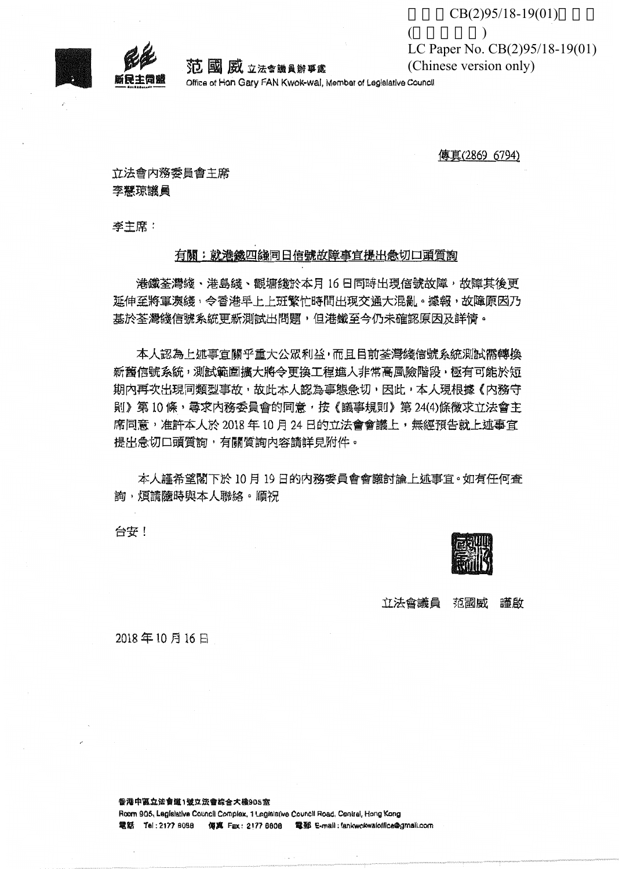

5万 國 威 立法會議員辦事處

Office of Han Gary FAN Kwok-wal, Member of Legislative Council

傳真(2869 6794)

 $\overline{(}$ 

立法會内務委員會主席 李慧琼議員

李主席:

## 有關:就港鐵四線同日信號故障事宜提出急切口頭質詢

港鐵荃灣縫、港島綫、觀塘綫於本月 16日同時出現信號故障,故障其後更 延伸至將軍澳綫,令香港早上上班繁忙時間出現交通大混亂。據報,故障原因乃 基於荃灣綠信號系統更新測試出問題,但港鐵至今仍未確認原因及詳情。

本人認為上述事宜關乎重大公眾利益,而且目前荃灣綫信號系統測試需轉換 新舊信號系統,測試範圍擴大將今更換工程進入非常高風險階段,極有可能於短 期内再次出現同類型事故,故此本人認為事態急切,因此,本人現根據《内務守 則》第10條,尋求内務委員會的同意,按《議事規則》第24(4)條徵求立法會主 席同意,准許本人於 2018 年 10 月 24 日的立法會會議上,無經預告就上述事官 提出急切口頭質詢,有關質詢內容請詳見附件。

本人謹希望閣下於 10月 19日的内務委員會會議討論上述事宜。如有任何查 詢,煩請隨時與本人聯絡。順祝

台安!

立法會議員 范國威 謹啟

2018年10月16日